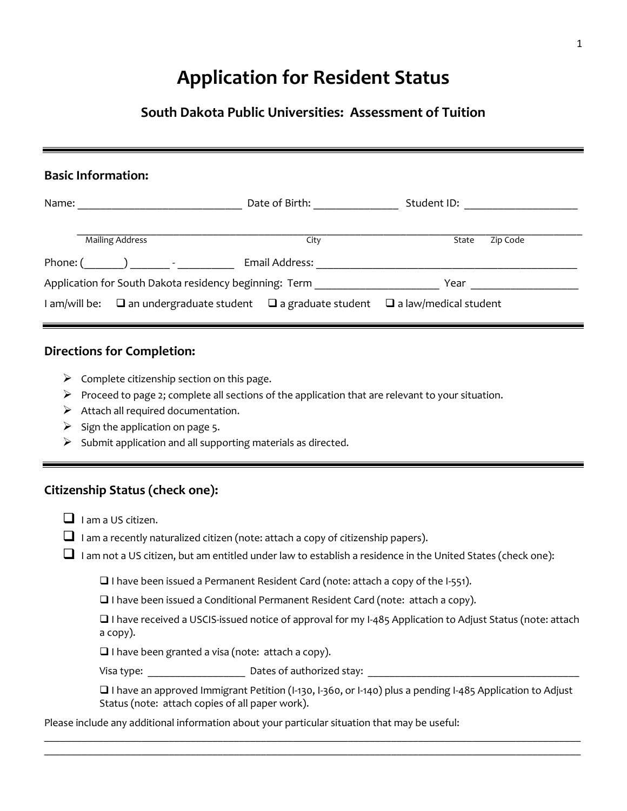# **Application for Resident Status**

## **South Dakota Public Universities: Assessment of Tuition**

## **Basic Information:**

| Name:                                                          |                        | Date of Birth:                                                  | Student ID:                  |          |  |
|----------------------------------------------------------------|------------------------|-----------------------------------------------------------------|------------------------------|----------|--|
|                                                                | <b>Mailing Address</b> | City                                                            | State                        | Zip Code |  |
| Phone: (                                                       |                        | Email Address:                                                  |                              |          |  |
| Application for South Dakota residency beginning: Term<br>Year |                        |                                                                 |                              |          |  |
| I am/will be:                                                  |                        | $\square$ an undergraduate student $\square$ a graduate student | $\Box$ a law/medical student |          |  |

### **Directions for Completion:**

- $\triangleright$  Complete citizenship section on this page.
- $\triangleright$  Proceed to page 2; complete all sections of the application that are relevant to your situation.
- $\triangleright$  Attach all required documentation.
- $\triangleright$  Sign the application on page 5.
- $\triangleright$  Submit application and all supporting materials as directed.

## **Citizenship Status (check one):**

- $\Box$  I am a US citizen.
- $\Box$  I am a recently naturalized citizen (note: attach a copy of citizenship papers).
- $\Box$  I am not a US citizen, but am entitled under law to establish a residence in the United States (check one):

 $\Box$  I have been issued a Permanent Resident Card (note: attach a copy of the I-551).

 $\Box$  I have been issued a Conditional Permanent Resident Card (note: attach a copy).

 I have received a USCIS-issued notice of approval for my I-485 Application to Adjust Status (note: attach a copy).

 $\Box$  I have been granted a visa (note: attach a copy).

Visa type: \_\_\_\_\_\_\_\_\_\_\_\_\_\_\_\_\_\_ Dates of authorized stay: \_\_\_\_\_\_\_\_\_\_\_\_\_\_\_\_\_\_\_\_\_\_\_\_\_\_\_\_\_\_\_\_\_\_\_\_\_\_\_

 I have an approved Immigrant Petition (I-130, I-360, or I-140) plus a pending I-485 Application to Adjust Status (note: attach copies of all paper work).

\_\_\_\_\_\_\_\_\_\_\_\_\_\_\_\_\_\_\_\_\_\_\_\_\_\_\_\_\_\_\_\_\_\_\_\_\_\_\_\_\_\_\_\_\_\_\_\_\_\_\_\_\_\_\_\_\_\_\_\_\_\_\_\_\_\_\_\_\_\_\_\_\_\_\_\_\_\_\_\_\_\_\_\_\_\_\_\_\_\_\_\_\_\_\_\_\_\_\_ \_\_\_\_\_\_\_\_\_\_\_\_\_\_\_\_\_\_\_\_\_\_\_\_\_\_\_\_\_\_\_\_\_\_\_\_\_\_\_\_\_\_\_\_\_\_\_\_\_\_\_\_\_\_\_\_\_\_\_\_\_\_\_\_\_\_\_\_\_\_\_\_\_\_\_\_\_\_\_\_\_\_\_\_\_\_\_\_\_\_\_\_\_\_\_\_\_\_\_

Please include any additional information about your particular situation that may be useful: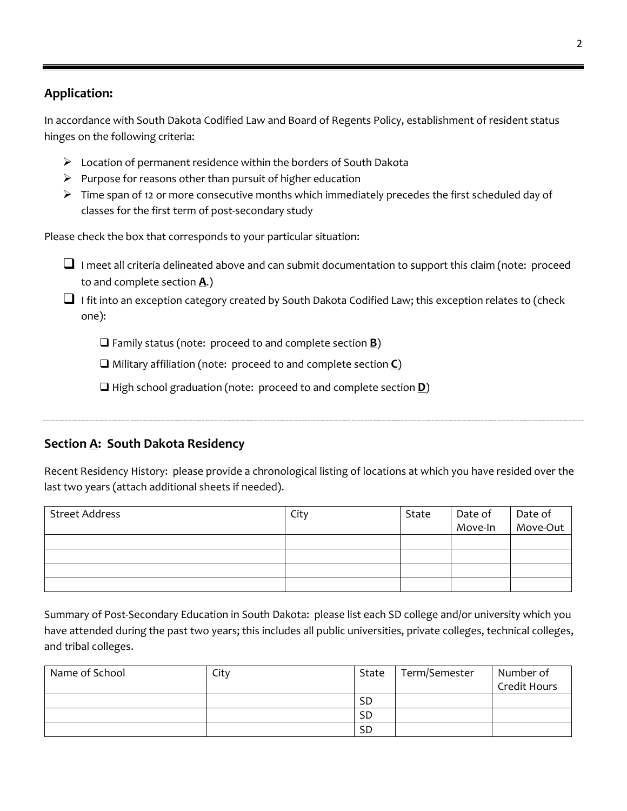## **Application:**

In accordance with South Dakota Codified Law and Board of Regents Policy, establishment of resident status hinges on the following criteria:

- $\triangleright$  Location of permanent residence within the borders of South Dakota
- $\triangleright$  Purpose for reasons other than pursuit of higher education
- $\triangleright$  Time span of 12 or more consecutive months which immediately precedes the first scheduled day of classes for the first term of post-secondary study

Please check the box that corresponds to your particular situation:

- $\Box$  I meet all criteria delineated above and can submit documentation to support this claim (note: proceed to and complete section **A**.)
- $\Box$  I fit into an exception category created by South Dakota Codified Law; this exception relates to (check one):

Family status (note: proceed to and complete section **B**)

Military affiliation (note: proceed to and complete section **C**)

□ High school graduation (note: proceed to and complete section **D**)

## **Section A: South Dakota Residency**

Recent Residency History: please provide a chronological listing of locations at which you have resided over the last two years (attach additional sheets if needed).

| <b>Street Address</b> | City | State | Date of<br>Move-In | Date of<br>Move-Out |
|-----------------------|------|-------|--------------------|---------------------|
|                       |      |       |                    |                     |
|                       |      |       |                    |                     |
|                       |      |       |                    |                     |
|                       |      |       |                    |                     |

Summary of Post-Secondary Education in South Dakota: please list each SD college and/or university which you have attended during the past two years; this includes all public universities, private colleges, technical colleges, and tribal colleges.

| Name of School | City | State     | Term/Semester | Number of    |
|----------------|------|-----------|---------------|--------------|
|                |      |           |               | Credit Hours |
|                |      | <b>SD</b> |               |              |
|                |      | <b>SD</b> |               |              |
|                |      | <b>SD</b> |               |              |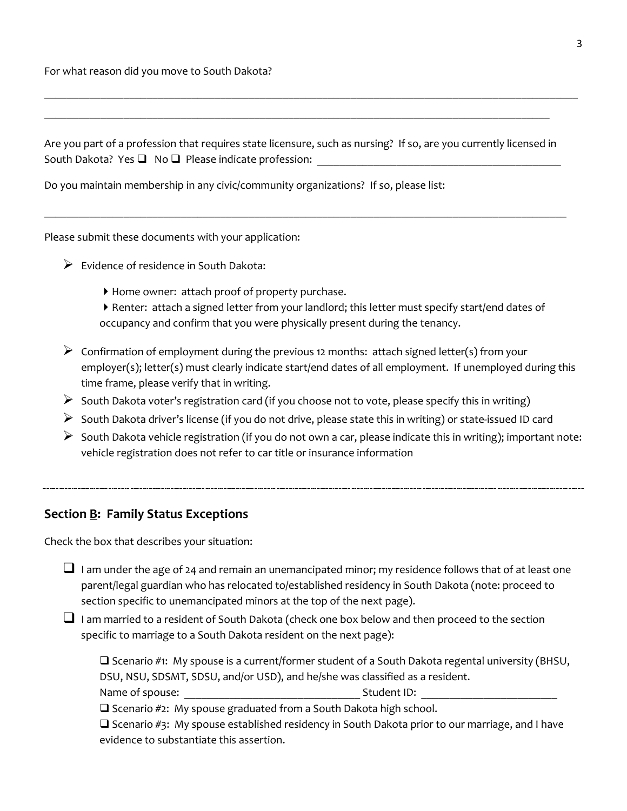For what reason did you move to South Dakota?

Are you part of a profession that requires state licensure, such as nursing? If so, are you currently licensed in South Dakota? Yes  $\Box$  No  $\Box$  Please indicate profession:

 $\_$  , and the contribution of the contribution of the contribution of the contribution of the contribution of  $\mathcal{L}_\text{max}$ 

 $\_$  , and the contribution of the contribution of the contribution of the contribution of the contribution of  $\mathcal{L}_\text{max}$ 

\_\_\_\_\_\_\_\_\_\_\_\_\_\_\_\_\_\_\_\_\_\_\_\_\_\_\_\_\_\_\_\_\_\_\_\_\_\_\_\_\_\_\_\_\_\_\_\_\_\_\_\_\_\_\_\_\_\_\_\_\_\_\_\_\_\_\_\_\_\_\_\_\_\_\_\_\_\_\_\_\_\_\_\_\_\_\_\_\_\_\_\_\_\_

Do you maintain membership in any civic/community organizations? If so, please list:

Please submit these documents with your application:

- $\triangleright$  Evidence of residence in South Dakota:
	- Home owner: attach proof of property purchase.
	- Renter: attach a signed letter from your landlord; this letter must specify start/end dates of occupancy and confirm that you were physically present during the tenancy.
- $\triangleright$  Confirmation of employment during the previous 12 months: attach signed letter(s) from your employer(s); letter(s) must clearly indicate start/end dates of all employment. If unemployed during this time frame, please verify that in writing.
- $\triangleright$  South Dakota voter's registration card (if you choose not to vote, please specify this in writing)
- $\triangleright$  South Dakota driver's license (if you do not drive, please state this in writing) or state-issued ID card
- $\triangleright$  South Dakota vehicle registration (if you do not own a car, please indicate this in writing); important note: vehicle registration does not refer to car title or insurance information

### **Section B: Family Status Exceptions**

Check the box that describes your situation:

- I am under the age of 24 and remain an unemancipated minor; my residence follows that of at least one parent/legal guardian who has relocated to/established residency in South Dakota (note: proceed to section specific to unemancipated minors at the top of the next page).
- $\Box$  I am married to a resident of South Dakota (check one box below and then proceed to the section specific to marriage to a South Dakota resident on the next page):

 $\Box$  Scenario #1: My spouse is a current/former student of a South Dakota regental university (BHSU, DSU, NSU, SDSMT, SDSU, and/or USD), and he/she was classified as a resident.

Name of spouse: example and the student ID:  $\blacksquare$ 

 $\square$  Scenario #2: My spouse graduated from a South Dakota high school.

 $\square$  Scenario #3: My spouse established residency in South Dakota prior to our marriage, and I have evidence to substantiate this assertion.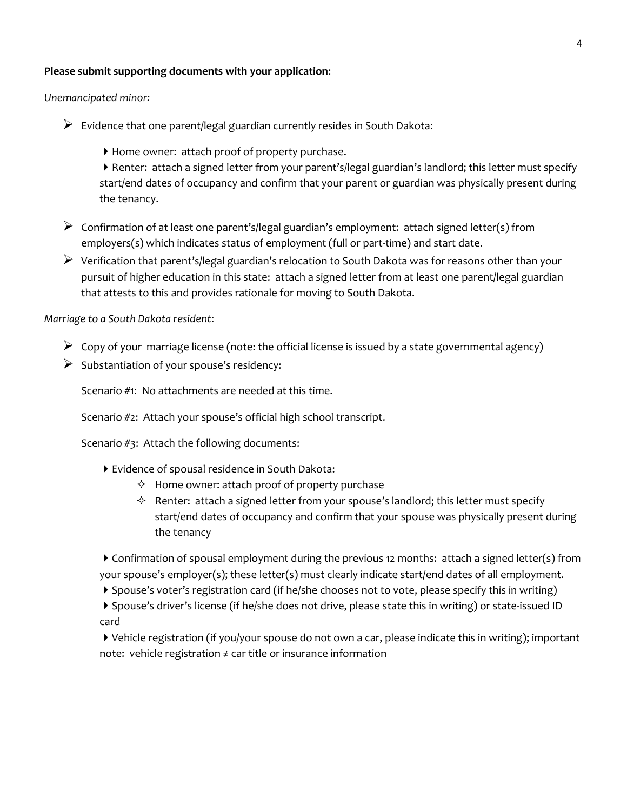#### **Please submit supporting documents with your application**:

*Unemancipated minor:*

- $\triangleright$  Evidence that one parent/legal guardian currently resides in South Dakota:
	- Home owner: attach proof of property purchase.
	- Renter: attach a signed letter from your parent's/legal guardian's landlord; this letter must specify start/end dates of occupancy and confirm that your parent or guardian was physically present during the tenancy.
- $\triangleright$  Confirmation of at least one parent's/legal guardian's employment: attach signed letter(s) from employers(s) which indicates status of employment (full or part-time) and start date.
- $\triangleright$  Verification that parent's/legal guardian's relocation to South Dakota was for reasons other than your pursuit of higher education in this state: attach a signed letter from at least one parent/legal guardian that attests to this and provides rationale for moving to South Dakota.

*Marriage to a South Dakota resident*:

- $\triangleright$  Copy of your marriage license (note: the official license is issued by a state governmental agency)
- $\triangleright$  Substantiation of your spouse's residency:

Scenario #1: No attachments are needed at this time.

Scenario #2: Attach your spouse's official high school transcript.

Scenario #3: Attach the following documents:

- Evidence of spousal residence in South Dakota:
	- $\Diamond$  Home owner: attach proof of property purchase
	- $\Diamond$  Renter: attach a signed letter from your spouse's landlord; this letter must specify start/end dates of occupancy and confirm that your spouse was physically present during the tenancy

Confirmation of spousal employment during the previous 12 months: attach a signed letter(s) from your spouse's employer(s); these letter(s) must clearly indicate start/end dates of all employment.

Spouse's voter's registration card (if he/she chooses not to vote, please specify this in writing)

Spouse's driver's license (if he/she does not drive, please state this in writing) or state-issued ID card

Vehicle registration (if you/your spouse do not own a car, please indicate this in writing); important note: vehicle registration ≠ car title or insurance information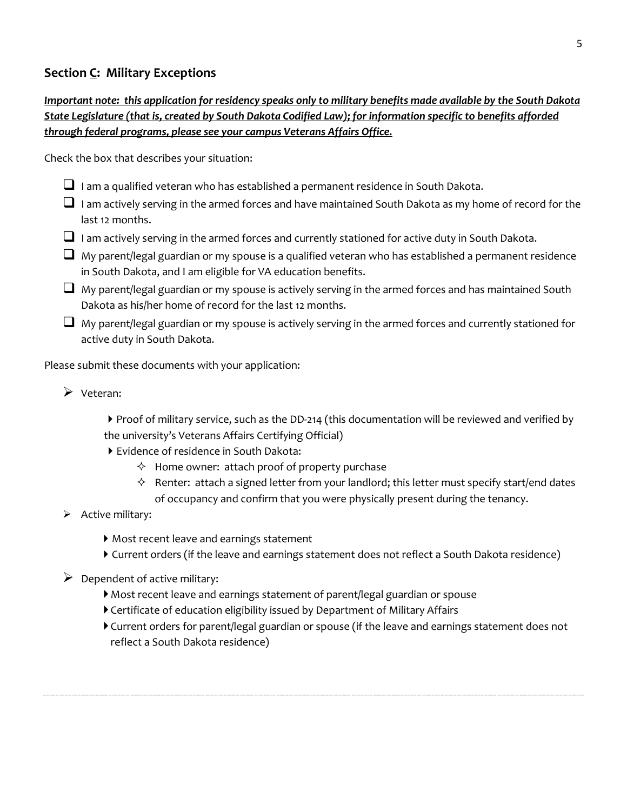## **Section C: Military Exceptions**

## *Important note: this application for residency speaks only to military benefits made available by the South Dakota State Legislature (that is, created by South Dakota Codified Law); for information specific to benefits afforded through federal programs, please see your campus Veterans Affairs Office.*

Check the box that describes your situation:

- $\Box$  I am a qualified veteran who has established a permanent residence in South Dakota.
- $\Box$  I am actively serving in the armed forces and have maintained South Dakota as my home of record for the last 12 months.
- $\Box$  I am actively serving in the armed forces and currently stationed for active duty in South Dakota.
- $\Box$  My parent/legal guardian or my spouse is a qualified veteran who has established a permanent residence in South Dakota, and I am eligible for VA education benefits.
- $\Box$  My parent/legal guardian or my spouse is actively serving in the armed forces and has maintained South Dakota as his/her home of record for the last 12 months.
- $\Box$  My parent/legal guardian or my spouse is actively serving in the armed forces and currently stationed for active duty in South Dakota.

Please submit these documents with your application:

 $\triangleright$  Veteran:

▶ Proof of military service, such as the DD-214 (this documentation will be reviewed and verified by the university's Veterans Affairs Certifying Official)

- Evidence of residence in South Dakota:
	- $\Diamond$  Home owner: attach proof of property purchase
	- $\Diamond$  Renter: attach a signed letter from your landlord; this letter must specify start/end dates of occupancy and confirm that you were physically present during the tenancy.
- $\triangleright$  Active military:
	- Most recent leave and earnings statement
	- Current orders (if the leave and earnings statement does not reflect a South Dakota residence)
- $\triangleright$  Dependent of active military:
	- Most recent leave and earnings statement of parent/legal guardian or spouse
	- Certificate of education eligibility issued by Department of Military Affairs
	- Current orders for parent/legal guardian or spouse (if the leave and earnings statement does not reflect a South Dakota residence)